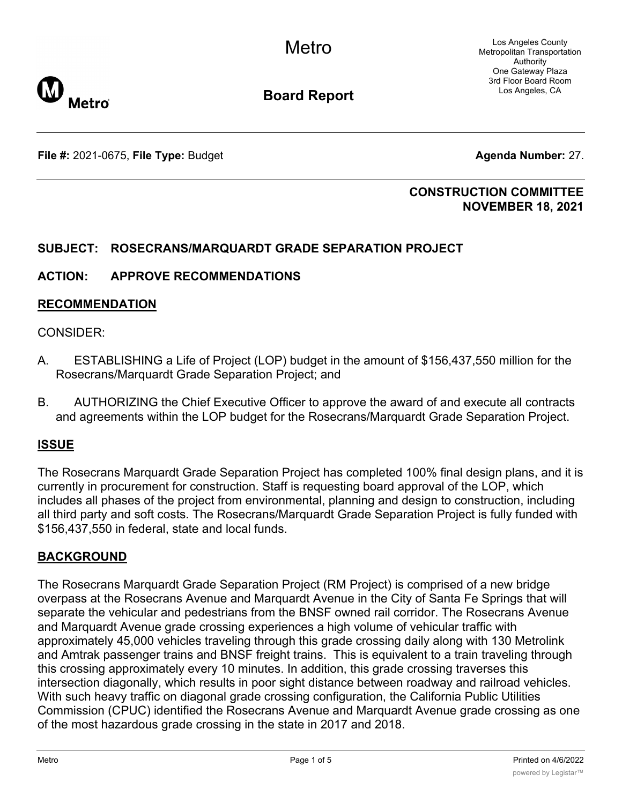Los Angeles County Metropolitan Transportation Authority One Gateway Plaza 3rd Floor Board Room Los Angeles, CA



**Board Report**

**File #:** 2021-0675, File Type: Budget **Agents Agenda Number:** 27.

### **CONSTRUCTION COMMITTEE NOVEMBER 18, 2021**

# **SUBJECT: ROSECRANS/MARQUARDT GRADE SEPARATION PROJECT**

### **ACTION: APPROVE RECOMMENDATIONS**

### **RECOMMENDATION**

### CONSIDER:

- A. ESTABLISHING a Life of Project (LOP) budget in the amount of \$156,437,550 million for the Rosecrans/Marquardt Grade Separation Project; and
- B. AUTHORIZING the Chief Executive Officer to approve the award of and execute all contracts and agreements within the LOP budget for the Rosecrans/Marquardt Grade Separation Project.

# **ISSUE**

The Rosecrans Marquardt Grade Separation Project has completed 100% final design plans, and it is currently in procurement for construction. Staff is requesting board approval of the LOP, which includes all phases of the project from environmental, planning and design to construction, including all third party and soft costs. The Rosecrans/Marquardt Grade Separation Project is fully funded with \$156,437,550 in federal, state and local funds.

# **BACKGROUND**

The Rosecrans Marquardt Grade Separation Project (RM Project) is comprised of a new bridge overpass at the Rosecrans Avenue and Marquardt Avenue in the City of Santa Fe Springs that will separate the vehicular and pedestrians from the BNSF owned rail corridor. The Rosecrans Avenue and Marquardt Avenue grade crossing experiences a high volume of vehicular traffic with approximately 45,000 vehicles traveling through this grade crossing daily along with 130 Metrolink and Amtrak passenger trains and BNSF freight trains. This is equivalent to a train traveling through this crossing approximately every 10 minutes. In addition, this grade crossing traverses this intersection diagonally, which results in poor sight distance between roadway and railroad vehicles. With such heavy traffic on diagonal grade crossing configuration, the California Public Utilities Commission (CPUC) identified the Rosecrans Avenue and Marquardt Avenue grade crossing as one of the most hazardous grade crossing in the state in 2017 and 2018.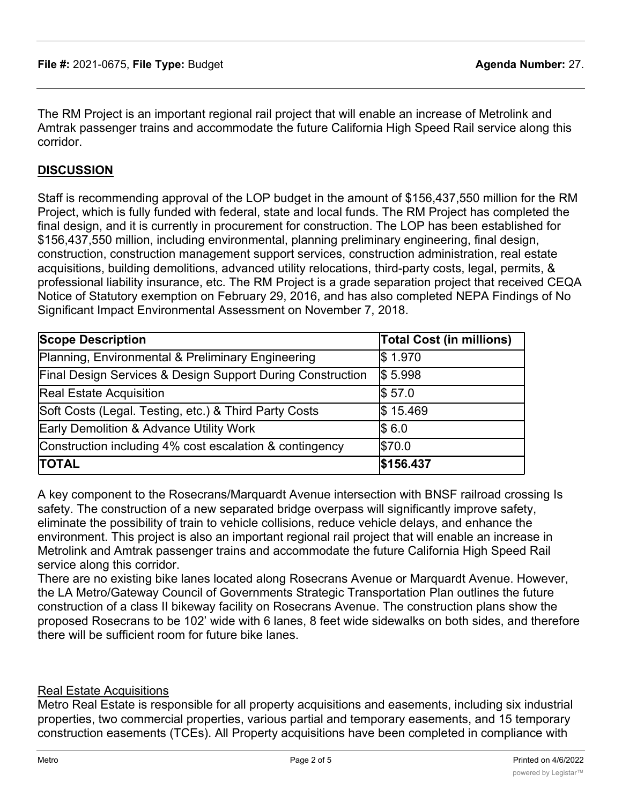The RM Project is an important regional rail project that will enable an increase of Metrolink and Amtrak passenger trains and accommodate the future California High Speed Rail service along this corridor.

### **DISCUSSION**

Staff is recommending approval of the LOP budget in the amount of \$156,437,550 million for the RM Project, which is fully funded with federal, state and local funds. The RM Project has completed the final design, and it is currently in procurement for construction. The LOP has been established for \$156,437,550 million, including environmental, planning preliminary engineering, final design, construction, construction management support services, construction administration, real estate acquisitions, building demolitions, advanced utility relocations, third-party costs, legal, permits, & professional liability insurance, etc. The RM Project is a grade separation project that received CEQA Notice of Statutory exemption on February 29, 2016, and has also completed NEPA Findings of No Significant Impact Environmental Assessment on November 7, 2018.

| <b>Scope Description</b>                                   | <b>Total Cost (in millions)</b> |
|------------------------------------------------------------|---------------------------------|
| Planning, Environmental & Preliminary Engineering          | \$1.970                         |
| Final Design Services & Design Support During Construction | \$5.998                         |
| <b>Real Estate Acquisition</b>                             | \$57.0                          |
| Soft Costs (Legal. Testing, etc.) & Third Party Costs      | \$15.469                        |
| <b>Early Demolition &amp; Advance Utility Work</b>         | \$6.0                           |
| Construction including 4% cost escalation & contingency    | \$70.0                          |
| <b>TOTAL</b>                                               | \$156.437                       |

A key component to the Rosecrans/Marquardt Avenue intersection with BNSF railroad crossing Is safety. The construction of a new separated bridge overpass will significantly improve safety, eliminate the possibility of train to vehicle collisions, reduce vehicle delays, and enhance the environment. This project is also an important regional rail project that will enable an increase in Metrolink and Amtrak passenger trains and accommodate the future California High Speed Rail service along this corridor.

There are no existing bike lanes located along Rosecrans Avenue or Marquardt Avenue. However, the LA Metro/Gateway Council of Governments Strategic Transportation Plan outlines the future construction of a class II bikeway facility on Rosecrans Avenue. The construction plans show the proposed Rosecrans to be 102' wide with 6 lanes, 8 feet wide sidewalks on both sides, and therefore there will be sufficient room for future bike lanes.

#### Real Estate Acquisitions

Metro Real Estate is responsible for all property acquisitions and easements, including six industrial properties, two commercial properties, various partial and temporary easements, and 15 temporary construction easements (TCEs). All Property acquisitions have been completed in compliance with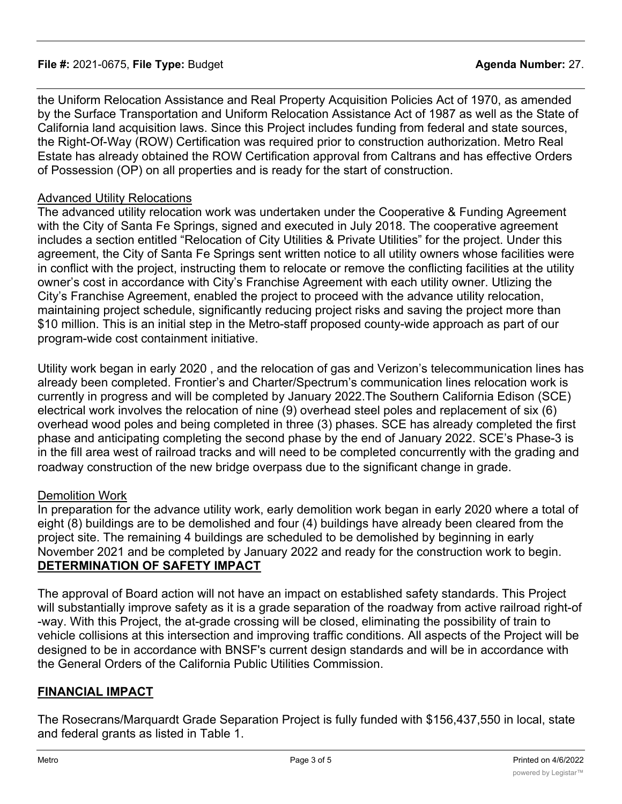### **File #:** 2021-0675, **File Type:** Budget **Agenda Number:** 27.

the Uniform Relocation Assistance and Real Property Acquisition Policies Act of 1970, as amended by the Surface Transportation and Uniform Relocation Assistance Act of 1987 as well as the State of California land acquisition laws. Since this Project includes funding from federal and state sources, the Right-Of-Way (ROW) Certification was required prior to construction authorization. Metro Real Estate has already obtained the ROW Certification approval from Caltrans and has effective Orders of Possession (OP) on all properties and is ready for the start of construction.

### Advanced Utility Relocations

The advanced utility relocation work was undertaken under the Cooperative & Funding Agreement with the City of Santa Fe Springs, signed and executed in July 2018. The cooperative agreement includes a section entitled "Relocation of City Utilities & Private Utilities" for the project. Under this agreement, the City of Santa Fe Springs sent written notice to all utility owners whose facilities were in conflict with the project, instructing them to relocate or remove the conflicting facilities at the utility owner's cost in accordance with City's Franchise Agreement with each utility owner. Utlizing the City's Franchise Agreement, enabled the project to proceed with the advance utility relocation, maintaining project schedule, significantly reducing project risks and saving the project more than \$10 million. This is an initial step in the Metro-staff proposed county-wide approach as part of our program-wide cost containment initiative.

Utility work began in early 2020 , and the relocation of gas and Verizon's telecommunication lines has already been completed. Frontier's and Charter/Spectrum's communication lines relocation work is currently in progress and will be completed by January 2022.The Southern California Edison (SCE) electrical work involves the relocation of nine (9) overhead steel poles and replacement of six (6) overhead wood poles and being completed in three (3) phases. SCE has already completed the first phase and anticipating completing the second phase by the end of January 2022. SCE's Phase-3 is in the fill area west of railroad tracks and will need to be completed concurrently with the grading and roadway construction of the new bridge overpass due to the significant change in grade.

### Demolition Work

In preparation for the advance utility work, early demolition work began in early 2020 where a total of eight (8) buildings are to be demolished and four (4) buildings have already been cleared from the project site. The remaining 4 buildings are scheduled to be demolished by beginning in early November 2021 and be completed by January 2022 and ready for the construction work to begin. **DETERMINATION OF SAFETY IMPACT**

The approval of Board action will not have an impact on established safety standards. This Project will substantially improve safety as it is a grade separation of the roadway from active railroad right-of -way. With this Project, the at-grade crossing will be closed, eliminating the possibility of train to vehicle collisions at this intersection and improving traffic conditions. All aspects of the Project will be designed to be in accordance with BNSF's current design standards and will be in accordance with the General Orders of the California Public Utilities Commission.

### **FINANCIAL IMPACT**

The Rosecrans/Marquardt Grade Separation Project is fully funded with \$156,437,550 in local, state and federal grants as listed in Table 1.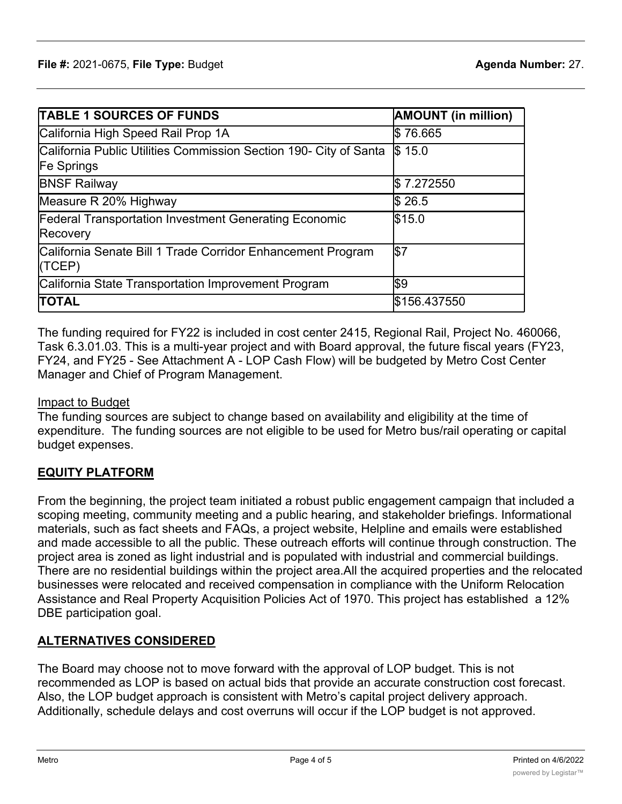| <b>TABLE 1 SOURCES OF FUNDS</b>                                                        | <b>AMOUNT</b> (in million) |
|----------------------------------------------------------------------------------------|----------------------------|
| California High Speed Rail Prop 1A                                                     | \$76.665                   |
| California Public Utilities Commission Section 190- City of Santa<br><b>Fe Springs</b> | \$15.0                     |
| <b>BNSF Railway</b>                                                                    | \$7.272550                 |
| Measure R 20% Highway                                                                  | \$26.5                     |
| <b>Federal Transportation Investment Generating Economic</b><br>Recovery               | \$15.0                     |
| California Senate Bill 1 Trade Corridor Enhancement Program<br>(TEP)                   | \$7                        |
| California State Transportation Improvement Program                                    | \$9                        |
| <b>TOTAL</b>                                                                           | \$156.437550               |

The funding required for FY22 is included in cost center 2415, Regional Rail, Project No. 460066, Task 6.3.01.03. This is a multi-year project and with Board approval, the future fiscal years (FY23, FY24, and FY25 - See Attachment A - LOP Cash Flow) will be budgeted by Metro Cost Center Manager and Chief of Program Management.

### Impact to Budget

The funding sources are subject to change based on availability and eligibility at the time of expenditure. The funding sources are not eligible to be used for Metro bus/rail operating or capital budget expenses.

# **EQUITY PLATFORM**

From the beginning, the project team initiated a robust public engagement campaign that included a scoping meeting, community meeting and a public hearing, and stakeholder briefings. Informational materials, such as fact sheets and FAQs, a project website, Helpline and emails were established and made accessible to all the public. These outreach efforts will continue through construction. The project area is zoned as light industrial and is populated with industrial and commercial buildings. There are no residential buildings within the project area.All the acquired properties and the relocated businesses were relocated and received compensation in compliance with the Uniform Relocation Assistance and Real Property Acquisition Policies Act of 1970. This project has established a 12% DBE participation goal.

# **ALTERNATIVES CONSIDERED**

The Board may choose not to move forward with the approval of LOP budget. This is not recommended as LOP is based on actual bids that provide an accurate construction cost forecast. Also, the LOP budget approach is consistent with Metro's capital project delivery approach. Additionally, schedule delays and cost overruns will occur if the LOP budget is not approved.